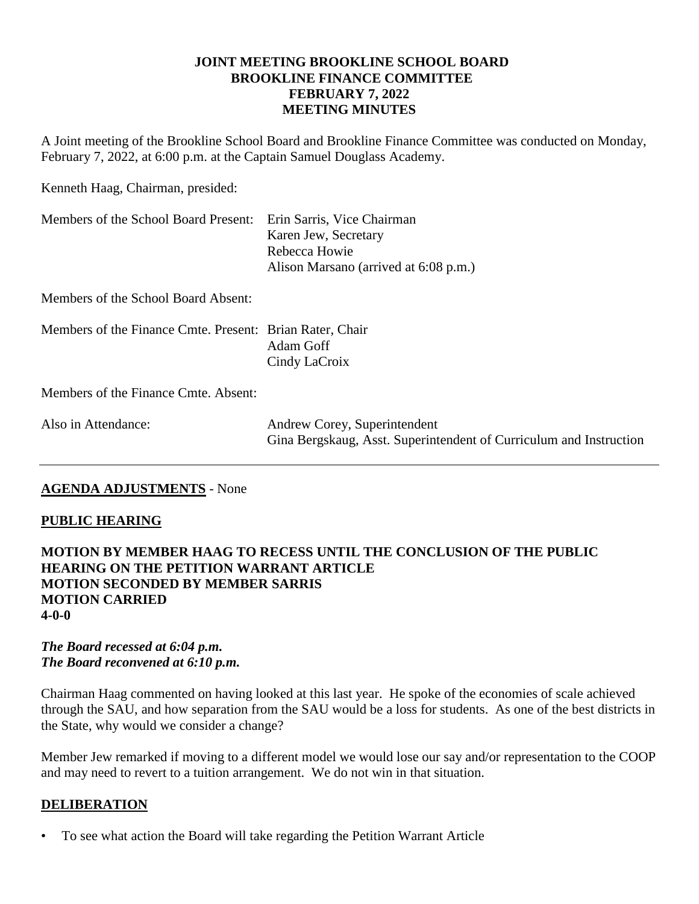## **JOINT MEETING BROOKLINE SCHOOL BOARD BROOKLINE FINANCE COMMITTEE FEBRUARY 7, 2022 MEETING MINUTES**

A Joint meeting of the Brookline School Board and Brookline Finance Committee was conducted on Monday, February 7, 2022, at 6:00 p.m. at the Captain Samuel Douglass Academy.

Kenneth Haag, Chairman, presided:

| Members of the School Board Present: Erin Sarris, Vice Chairman | Karen Jew, Secretary<br>Rebecca Howie |
|-----------------------------------------------------------------|---------------------------------------|
|                                                                 | Alison Marsano (arrived at 6:08 p.m.) |

Members of the School Board Absent:

Members of the Finance Cmte. Present: Brian Rater, Chair Adam Goff Cindy LaCroix

Members of the Finance Cmte. Absent:

| Also in Attendance: | Andrew Corey, Superintendent                                       |
|---------------------|--------------------------------------------------------------------|
|                     | Gina Bergskaug, Asst. Superintendent of Curriculum and Instruction |

# **AGENDA ADJUSTMENTS** - None

# **PUBLIC HEARING**

## **MOTION BY MEMBER HAAG TO RECESS UNTIL THE CONCLUSION OF THE PUBLIC HEARING ON THE PETITION WARRANT ARTICLE MOTION SECONDED BY MEMBER SARRIS MOTION CARRIED 4-0-0**

#### *The Board recessed at 6:04 p.m. The Board reconvened at 6:10 p.m.*

Chairman Haag commented on having looked at this last year. He spoke of the economies of scale achieved through the SAU, and how separation from the SAU would be a loss for students. As one of the best districts in the State, why would we consider a change?

Member Jew remarked if moving to a different model we would lose our say and/or representation to the COOP and may need to revert to a tuition arrangement. We do not win in that situation.

#### **DELIBERATION**

• To see what action the Board will take regarding the Petition Warrant Article